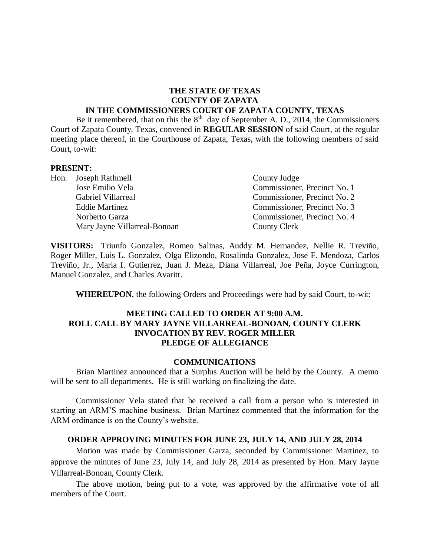#### **THE STATE OF TEXAS COUNTY OF ZAPATA IN THE COMMISSIONERS COURT OF ZAPATA COUNTY, TEXAS**

Be it remembered, that on this the  $8<sup>th</sup>$  day of September A. D., 2014, the Commissioners Court of Zapata County, Texas, convened in **REGULAR SESSION** of said Court, at the regular meeting place thereof, in the Courthouse of Zapata, Texas, with the following members of said Court, to-wit:

#### **PRESENT:**

| Hon. Joseph Rathmell         | County Judge                 |
|------------------------------|------------------------------|
| Jose Emilio Vela             | Commissioner, Precinct No. 1 |
| Gabriel Villarreal           | Commissioner, Precinct No. 2 |
| <b>Eddie Martinez</b>        | Commissioner, Precinct No. 3 |
| Norberto Garza               | Commissioner, Precinct No. 4 |
| Mary Jayne Villarreal-Bonoan | County Clerk                 |

**VISITORS:** Triunfo Gonzalez, Romeo Salinas, Auddy M. Hernandez, Nellie R. Treviño, Roger Miller, Luis L. Gonzalez, Olga Elizondo, Rosalinda Gonzalez, Jose F. Mendoza, Carlos Treviño, Jr., Maria I. Gutierrez, Juan J. Meza, Diana Villarreal, Joe Peña, Joyce Currington, Manuel Gonzalez, and Charles Avaritt.

**WHEREUPON**, the following Orders and Proceedings were had by said Court, to-wit:

### **MEETING CALLED TO ORDER AT 9:00 A.M. ROLL CALL BY MARY JAYNE VILLARREAL-BONOAN, COUNTY CLERK INVOCATION BY REV. ROGER MILLER PLEDGE OF ALLEGIANCE**

#### **COMMUNICATIONS**

Brian Martinez announced that a Surplus Auction will be held by the County. A memo will be sent to all departments. He is still working on finalizing the date.

Commissioner Vela stated that he received a call from a person who is interested in starting an ARM'S machine business. Brian Martinez commented that the information for the ARM ordinance is on the County's website.

#### **ORDER APPROVING MINUTES FOR JUNE 23, JULY 14, AND JULY 28, 2014**

Motion was made by Commissioner Garza, seconded by Commissioner Martinez, to approve the minutes of June 23, July 14, and July 28, 2014 as presented by Hon. Mary Jayne Villarreal-Bonoan, County Clerk.

The above motion, being put to a vote, was approved by the affirmative vote of all members of the Court.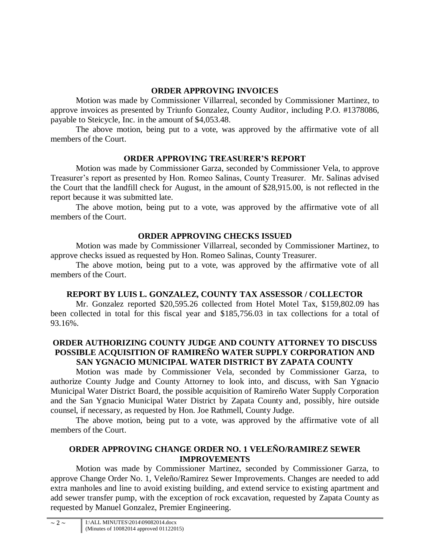# **ORDER APPROVING INVOICES**

Motion was made by Commissioner Villarreal, seconded by Commissioner Martinez, to approve invoices as presented by Triunfo Gonzalez, County Auditor, including P.O. #1378086, payable to Steicycle, Inc. in the amount of \$4,053.48.

The above motion, being put to a vote, was approved by the affirmative vote of all members of the Court.

# **ORDER APPROVING TREASURER'S REPORT**

Motion was made by Commissioner Garza, seconded by Commissioner Vela, to approve Treasurer's report as presented by Hon. Romeo Salinas, County Treasurer. Mr. Salinas advised the Court that the landfill check for August, in the amount of \$28,915.00, is not reflected in the report because it was submitted late.

The above motion, being put to a vote, was approved by the affirmative vote of all members of the Court.

# **ORDER APPROVING CHECKS ISSUED**

Motion was made by Commissioner Villarreal, seconded by Commissioner Martinez, to approve checks issued as requested by Hon. Romeo Salinas, County Treasurer.

The above motion, being put to a vote, was approved by the affirmative vote of all members of the Court.

# **REPORT BY LUIS L. GONZALEZ, COUNTY TAX ASSESSOR / COLLECTOR**

Mr. Gonzalez reported \$20,595.26 collected from Hotel Motel Tax, \$159,802.09 has been collected in total for this fiscal year and \$185,756.03 in tax collections for a total of 93.16%.

### **ORDER AUTHORIZING COUNTY JUDGE AND COUNTY ATTORNEY TO DISCUSS POSSIBLE ACQUISITION OF RAMIREÑO WATER SUPPLY CORPORATION AND SAN YGNACIO MUNICIPAL WATER DISTRICT BY ZAPATA COUNTY**

Motion was made by Commissioner Vela, seconded by Commissioner Garza, to authorize County Judge and County Attorney to look into, and discuss, with San Ygnacio Municipal Water District Board, the possible acquisition of Ramireño Water Supply Corporation and the San Ygnacio Municipal Water District by Zapata County and, possibly, hire outside counsel, if necessary, as requested by Hon. Joe Rathmell, County Judge.

The above motion, being put to a vote, was approved by the affirmative vote of all members of the Court.

# **ORDER APPROVING CHANGE ORDER NO. 1 VELEÑO/RAMIREZ SEWER IMPROVEMENTS**

Motion was made by Commissioner Martinez, seconded by Commissioner Garza, to approve Change Order No. 1, Veleño/Ramirez Sewer Improvements. Changes are needed to add extra manholes and line to avoid existing building, and extend service to existing apartment and add sewer transfer pump, with the exception of rock excavation, requested by Zapata County as requested by Manuel Gonzalez, Premier Engineering.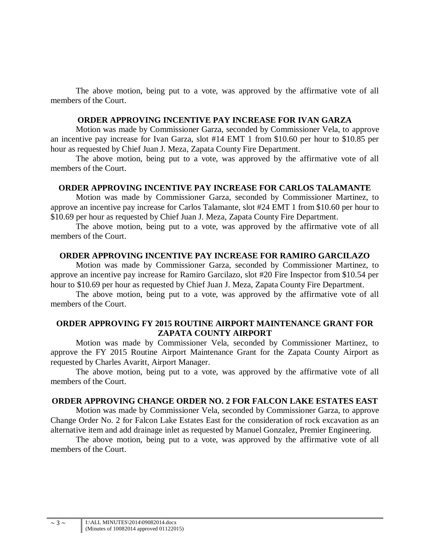The above motion, being put to a vote, was approved by the affirmative vote of all members of the Court.

### **ORDER APPROVING INCENTIVE PAY INCREASE FOR IVAN GARZA**

Motion was made by Commissioner Garza, seconded by Commissioner Vela, to approve an incentive pay increase for Ivan Garza, slot #14 EMT 1 from \$10.60 per hour to \$10.85 per hour as requested by Chief Juan J. Meza, Zapata County Fire Department.

The above motion, being put to a vote, was approved by the affirmative vote of all members of the Court.

### **ORDER APPROVING INCENTIVE PAY INCREASE FOR CARLOS TALAMANTE**

Motion was made by Commissioner Garza, seconded by Commissioner Martinez, to approve an incentive pay increase for Carlos Talamante, slot #24 EMT 1 from \$10.60 per hour to \$10.69 per hour as requested by Chief Juan J. Meza, Zapata County Fire Department.

The above motion, being put to a vote, was approved by the affirmative vote of all members of the Court.

### **ORDER APPROVING INCENTIVE PAY INCREASE FOR RAMIRO GARCILAZO**

Motion was made by Commissioner Garza, seconded by Commissioner Martinez, to approve an incentive pay increase for Ramiro Garcilazo, slot #20 Fire Inspector from \$10.54 per hour to \$10.69 per hour as requested by Chief Juan J. Meza, Zapata County Fire Department.

The above motion, being put to a vote, was approved by the affirmative vote of all members of the Court.

### **ORDER APPROVING FY 2015 ROUTINE AIRPORT MAINTENANCE GRANT FOR ZAPATA COUNTY AIRPORT**

Motion was made by Commissioner Vela, seconded by Commissioner Martinez, to approve the FY 2015 Routine Airport Maintenance Grant for the Zapata County Airport as requested by Charles Avaritt, Airport Manager.

The above motion, being put to a vote, was approved by the affirmative vote of all members of the Court.

### **ORDER APPROVING CHANGE ORDER NO. 2 FOR FALCON LAKE ESTATES EAST**

Motion was made by Commissioner Vela, seconded by Commissioner Garza, to approve Change Order No. 2 for Falcon Lake Estates East for the consideration of rock excavation as an alternative item and add drainage inlet as requested by Manuel Gonzalez, Premier Engineering.

The above motion, being put to a vote, was approved by the affirmative vote of all members of the Court.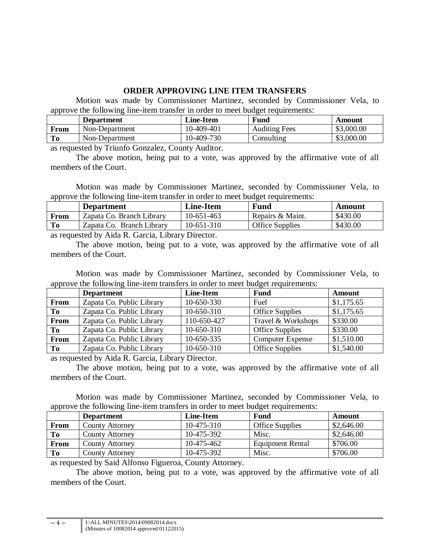## **ORDER APPROVING LINE ITEM TRANSFERS**

Motion was made by Commissioner Martinez, seconded by Commissioner Vela, to approve the following line-item transfer in order to meet budget requirements:

| Fund<br><b>Line-Item</b><br><b>Department</b>                | Amount     |
|--------------------------------------------------------------|------------|
| <b>Auditing Fees</b><br>10-409-401<br>Non-Department<br>From | \$3,000.00 |
| To<br>Consulting<br>Non-Department<br>10-409-730             | \$3,000.00 |

as requested by Triunfo Gonzalez, County Auditor.

The above motion, being put to a vote, was approved by the affirmative vote of all members of the Court.

Motion was made by Commissioner Martinez, seconded by Commissioner Vela, to approve the following line-item transfer in order to meet budget requirements:

|      | <b>Department</b>         | <b>Line-Item</b> | <b>Fund</b>            | Amount   |
|------|---------------------------|------------------|------------------------|----------|
| From | Zapata Co. Branch Library | 10-651-463       | Repairs & Maint.       | \$430.00 |
| To   | Zapata Co. Branch Library | $10-651-310$     | <b>Office Supplies</b> | \$430.00 |
|      | .                         |                  |                        |          |

as requested by Aida R. Garcia, Library Director.

The above motion, being put to a vote, was approved by the affirmative vote of all members of the Court.

Motion was made by Commissioner Martinez, seconded by Commissioner Vela, to approve the following line-item transfers in order to meet budget requirements:

|      | <b>Department</b>         | <b>Line-Item</b> | <b>Fund</b>             | Amount     |
|------|---------------------------|------------------|-------------------------|------------|
| From | Zapata Co. Public Library | 10-650-330       | Fuel                    | \$1,175.65 |
| To   | Zapata Co. Public Library | 10-650-310       | <b>Office Supplies</b>  | \$1,175.65 |
| From | Zapata Co. Public Library | 110-650-427      | Travel & Workshops      | \$330.00   |
| To   | Zapata Co. Public Library | 10-650-310       | <b>Office Supplies</b>  | \$330.00   |
| From | Zapata Co. Public Library | 10-650-335       | <b>Computer Expense</b> | \$1,510.00 |
| To   | Zapata Co. Public Library | 10-650-310       | Office Supplies         | \$1,540.00 |

as requested by Aida R. Garcia, Library Director.

The above motion, being put to a vote, was approved by the affirmative vote of all members of the Court.

Motion was made by Commissioner Martinez, seconded by Commissioner Vela, to approve the following line-item transfers in order to meet budget requirements:

|             | <b>Department</b>      | Line-Item  | Fund                    | Amount     |
|-------------|------------------------|------------|-------------------------|------------|
| <b>From</b> | <b>County Attorney</b> | 10-475-310 | <b>Office Supplies</b>  | \$2,646.00 |
| To          | <b>County Attorney</b> | 10-475-392 | Misc.                   | \$2,646.00 |
| From        | County Attorney        | 10-475-462 | <b>Equipment Rental</b> | \$706.00   |
| To          | <b>County Attorney</b> | 10-475-392 | Misc.                   | \$706.00   |

as requested by Said Alfonso Figueroa, County Attorney.

The above motion, being put to a vote, was approved by the affirmative vote of all members of the Court.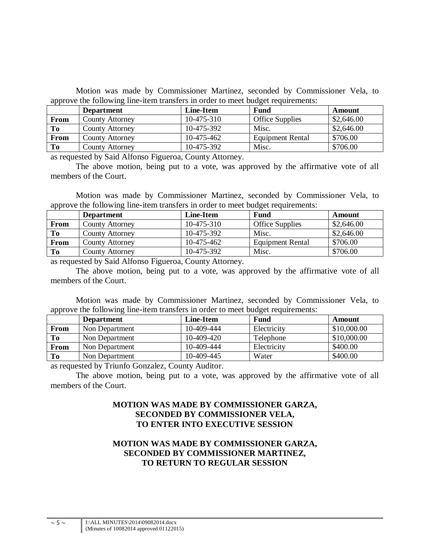Motion was made by Commissioner Martinez, seconded by Commissioner Vela, to approve the following line-item transfers in order to meet budget requirements:

|                | <b>Department</b>      | Line-Item  | Fund                   | Amount     |
|----------------|------------------------|------------|------------------------|------------|
| From           | <b>County Attorney</b> | 10-475-310 | <b>Office Supplies</b> | \$2,646.00 |
| To             | County Attorney        | 10-475-392 | Misc.                  | \$2,646.00 |
| From           | <b>County Attorney</b> | 10-475-462 | Equipment Rental       | \$706.00   |
| T <sub>0</sub> | County Attorney        | 10-475-392 | Misc.                  | \$706.00   |

as requested by Said Alfonso Figueroa, County Attorney.

The above motion, being put to a vote, was approved by the affirmative vote of all members of the Court.

Motion was made by Commissioner Martinez, seconded by Commissioner Vela, to approve the following line-item transfers in order to meet budget requirements:

|      | <b>Department</b>      | Line-Item  | <b>Fund</b>             | Amount     |
|------|------------------------|------------|-------------------------|------------|
| From | <b>County Attorney</b> | 10-475-310 | <b>Office Supplies</b>  | \$2,646.00 |
| To   | <b>County Attorney</b> | 10-475-392 | Misc.                   | \$2,646.00 |
| From | <b>County Attorney</b> | 10-475-462 | <b>Equipment Rental</b> | \$706.00   |
| To   | County Attorney        | 10-475-392 | Misc.                   | \$706.00   |

as requested by Said Alfonso Figueroa, County Attorney.

The above motion, being put to a vote, was approved by the affirmative vote of all members of the Court.

Motion was made by Commissioner Martinez, seconded by Commissioner Vela, to approve the following line-item transfers in order to meet budget requirements:

| . .  | <b>Department</b> | Line-Item  | <b>Fund</b> | Amount      |
|------|-------------------|------------|-------------|-------------|
| From | Non Department    | 10-409-444 | Electricity | \$10,000.00 |
| To   | Non Department    | 10-409-420 | Telephone   | \$10,000.00 |
| From | Non Department    | 10-409-444 | Electricity | \$400.00    |
| To   | Non Department    | 10-409-445 | Water       | \$400.00    |

as requested by Triunfo Gonzalez, County Auditor.

The above motion, being put to a vote, was approved by the affirmative vote of all members of the Court.

### **MOTION WAS MADE BY COMMISSIONER GARZA, SECONDED BY COMMISSIONER VELA, TO ENTER INTO EXECUTIVE SESSION**

# **MOTION WAS MADE BY COMMISSIONER GARZA, SECONDED BY COMMISSIONER MARTINEZ, TO RETURN TO REGULAR SESSION**